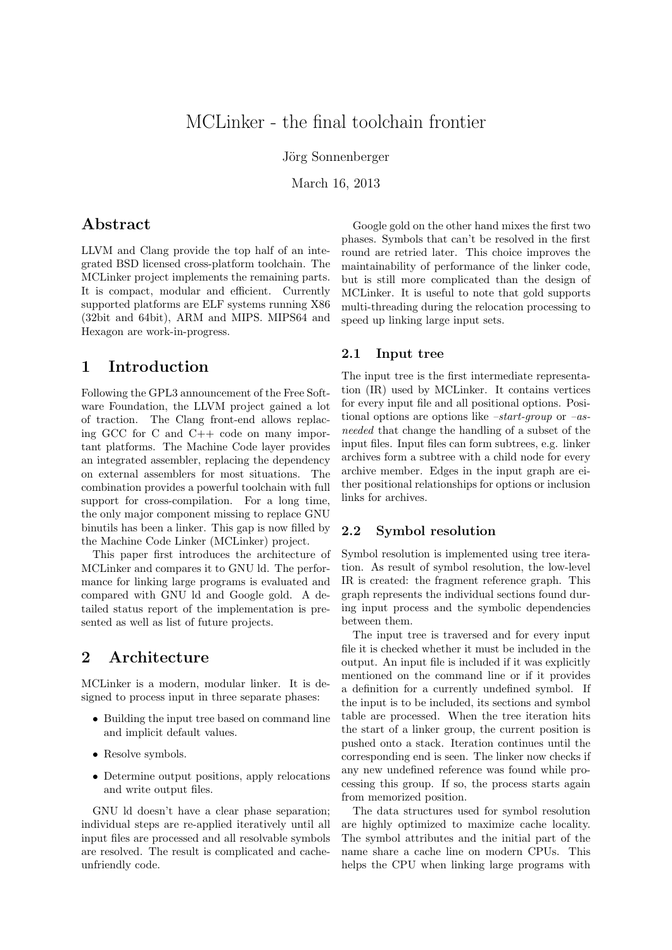# MCLinker - the final toolchain frontier

Jörg Sonnenberger

March 16, 2013

## Abstract

LLVM and Clang provide the top half of an integrated BSD licensed cross-platform toolchain. The MCLinker project implements the remaining parts. It is compact, modular and efficient. Currently supported platforms are ELF systems running X86 (32bit and 64bit), ARM and MIPS. MIPS64 and Hexagon are work-in-progress.

## 1 Introduction

Following the GPL3 announcement of the Free Software Foundation, the LLVM project gained a lot of traction. The Clang front-end allows replacing GCC for C and C++ code on many important platforms. The Machine Code layer provides an integrated assembler, replacing the dependency on external assemblers for most situations. The combination provides a powerful toolchain with full support for cross-compilation. For a long time, the only major component missing to replace GNU binutils has been a linker. This gap is now filled by the Machine Code Linker (MCLinker) project.

This paper first introduces the architecture of MCLinker and compares it to GNU ld. The performance for linking large programs is evaluated and compared with GNU ld and Google gold. A detailed status report of the implementation is presented as well as list of future projects.

## 2 Architecture

MCLinker is a modern, modular linker. It is designed to process input in three separate phases:

- Building the input tree based on command line and implicit default values.
- Resolve symbols.
- Determine output positions, apply relocations and write output files.

GNU ld doesn't have a clear phase separation; individual steps are re-applied iteratively until all input files are processed and all resolvable symbols are resolved. The result is complicated and cacheunfriendly code.

Google gold on the other hand mixes the first two phases. Symbols that can't be resolved in the first round are retried later. This choice improves the maintainability of performance of the linker code, but is still more complicated than the design of MCLinker. It is useful to note that gold supports multi-threading during the relocation processing to speed up linking large input sets.

#### 2.1 Input tree

The input tree is the first intermediate representation (IR) used by MCLinker. It contains vertices for every input file and all positional options. Positional options are options like  $-start\text{-}group$  or  $-as\text{-}$ needed that change the handling of a subset of the input files. Input files can form subtrees, e.g. linker archives form a subtree with a child node for every archive member. Edges in the input graph are either positional relationships for options or inclusion links for archives.

### 2.2 Symbol resolution

Symbol resolution is implemented using tree iteration. As result of symbol resolution, the low-level IR is created: the fragment reference graph. This graph represents the individual sections found during input process and the symbolic dependencies between them.

The input tree is traversed and for every input file it is checked whether it must be included in the output. An input file is included if it was explicitly mentioned on the command line or if it provides a definition for a currently undefined symbol. If the input is to be included, its sections and symbol table are processed. When the tree iteration hits the start of a linker group, the current position is pushed onto a stack. Iteration continues until the corresponding end is seen. The linker now checks if any new undefined reference was found while processing this group. If so, the process starts again from memorized position.

The data structures used for symbol resolution are highly optimized to maximize cache locality. The symbol attributes and the initial part of the name share a cache line on modern CPUs. This helps the CPU when linking large programs with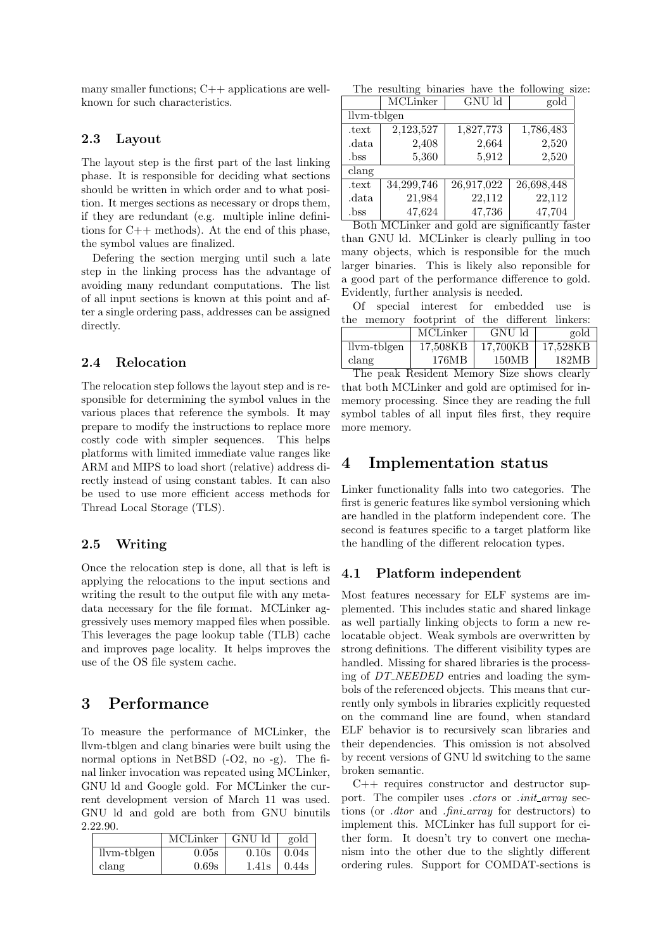many smaller functions;  $C++$  applications are wellknown for such characteristics.

#### 2.3 Layout

The layout step is the first part of the last linking phase. It is responsible for deciding what sections should be written in which order and to what position. It merges sections as necessary or drops them, if they are redundant (e.g. multiple inline definitions for  $C_{++}$  methods). At the end of this phase, the symbol values are finalized.

Defering the section merging until such a late step in the linking process has the advantage of avoiding many redundant computations. The list of all input sections is known at this point and after a single ordering pass, addresses can be assigned directly.

### 2.4 Relocation

The relocation step follows the layout step and is responsible for determining the symbol values in the various places that reference the symbols. It may prepare to modify the instructions to replace more costly code with simpler sequences. This helps platforms with limited immediate value ranges like ARM and MIPS to load short (relative) address directly instead of using constant tables. It can also be used to use more efficient access methods for Thread Local Storage (TLS).

### 2.5 Writing

Once the relocation step is done, all that is left is applying the relocations to the input sections and writing the result to the output file with any metadata necessary for the file format. MCLinker aggressively uses memory mapped files when possible. This leverages the page lookup table (TLB) cache and improves page locality. It helps improves the use of the OS file system cache.

### 3 Performance

To measure the performance of MCLinker, the llvm-tblgen and clang binaries were built using the normal options in NetBSD (-O2, no -g). The final linker invocation was repeated using MCLinker, GNU ld and Google gold. For MCLinker the current development version of March 11 was used. GNU ld and gold are both from GNU binutils 2.22.90.

|               | MCLinker | GNU ld            | gold  |
|---------------|----------|-------------------|-------|
| $llvm-tblgen$ | 0.05s    | 0.10 <sub>s</sub> | 0.04s |
| clang         | 0.69s    | 1.41s             | 0.44s |

The resulting binaries have the following size:

|             | MCLinker   | GNU ld     | gold       |  |  |  |
|-------------|------------|------------|------------|--|--|--|
| llym-tblgen |            |            |            |  |  |  |
| .text       | 2,123,527  | 1,827,773  | 1,786,483  |  |  |  |
| data        | 2,408      | 2,664      | 2,520      |  |  |  |
| .bss        | 5,360      | 5,912      | 2,520      |  |  |  |
| clang       |            |            |            |  |  |  |
| .text       | 34,299,746 | 26,917,022 | 26,698,448 |  |  |  |
| data        | 21,984     | 22,112     | 22,112     |  |  |  |
| .bss        | 47,624     | 47,736     | 47,704     |  |  |  |

Both MCLinker and gold are significantly faster than GNU ld. MCLinker is clearly pulling in too many objects, which is responsible for the much larger binaries. This is likely also reponsible for a good part of the performance difference to gold. Evidently, further analysis is needed.

Of special interest for embedded use is the memory footprint of the different linkers:

|             | MCLinker | GNU ld   | gold     |
|-------------|----------|----------|----------|
| llym-tblgen | 17.508KB | 17.700KB | 17.528KB |
| clang       | 176MB    | 150MB    | 182MB    |

The peak Resident Memory Size shows clearly that both MCLinker and gold are optimised for inmemory processing. Since they are reading the full symbol tables of all input files first, they require more memory.

### 4 Implementation status

Linker functionality falls into two categories. The first is generic features like symbol versioning which are handled in the platform independent core. The second is features specific to a target platform like the handling of the different relocation types.

### 4.1 Platform independent

Most features necessary for ELF systems are implemented. This includes static and shared linkage as well partially linking objects to form a new relocatable object. Weak symbols are overwritten by strong definitions. The different visibility types are handled. Missing for shared libraries is the processing of DT NEEDED entries and loading the symbols of the referenced objects. This means that currently only symbols in libraries explicitly requested on the command line are found, when standard ELF behavior is to recursively scan libraries and their dependencies. This omission is not absolved by recent versions of GNU ld switching to the same broken semantic.

C++ requires constructor and destructor support. The compiler uses *ctors* or *init<sub>-array* sec-</sub> tions (or *dtor* and *fini\_array* for destructors) to implement this. MCLinker has full support for either form. It doesn't try to convert one mechanism into the other due to the slightly different ordering rules. Support for COMDAT-sections is